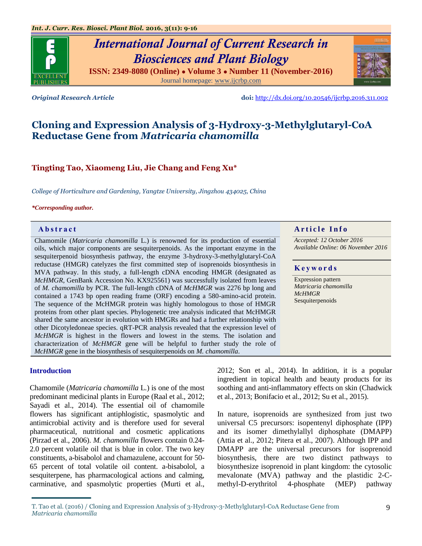

Journal homepage: [www.ijcrbp.com](http://www.ijcrbp.com/)



*Original Research Article* **doi:** <http://dx.doi.org/10.20546/ijcrbp.2016.311.002>

# **Cloning and Expression Analysis of 3-Hydroxy-3-Methylglutaryl-CoA Reductase Gene from** *Matricaria chamomilla*

## **Tingting Tao, Xiaomeng Liu, Jie Chang and Feng Xu\***

*College of Horticulture and Gardening, Yangtze University, Jingzhou 434025, China*

#### *\*Corresponding author.*

Chamomile (*Matricaria chamomilla* L.) is renowned for its production of essential oils, which major components are sesquiterpenoids. As the important enzyme in the sesquiterpenoid biosynthesis pathway, the enzyme 3-hydroxy-3-methylglutaryl-CoA reductase (HMGR) catelyzes the first committed step of isoprenoids biosynthesis in MVA pathway. In this study, a full-length cDNA encoding HMGR (designated as *McHMGR*, GenBank Accession No. KX925561) was successfully isolated from leaves of *M. chamomilla* by PCR. The full-length cDNA of *McHMGR* was 2276 bp long and contained a 1743 bp open reading frame (ORF) encoding a 580-amino-acid protein. The sequence of the McHMGR protein was highly homologous to those of HMGR proteins from other plant species. Phylogenetic tree analysis indicated that McHMGR shared the same ancestor in evolution with HMGRs and had a further relationship with other Dicotyledoneae species. qRT-PCR analysis revealed that the expression level of *McHMGR* is highest in the flowers and lowest in the stems. The isolation and characterization of *McHMGR* gene will be helpful to further study the role of *McHMGR* gene in the biosynthesis of sesquiterpenoids on *M. chamomilla*.

## **Introduction**

Chamomile (*Matricaria chamomilla* L*.*) is one of the most predominant medicinal plants in Europe (Raal et al., 2012; Sayadi et al., 2014). The essential oil of chamomile flowers has significant antiphlogistic, spasmolytic and antimicrobial activity and is therefore used for several pharmaceutical, nutritional and cosmetic applications (Pirzad et al., 2006). *M. chamomilla* flowers contain 0.24- 2.0 percent volatile oil that is blue in color. The two key constituents, a-bisabolol and chamazulene, account for 50- 65 percent of total volatile oil content. a-bisabolol, a sesquiterpene, has pharmacological actions and calming, carminative, and spasmolytic properties (Murti et al.,

**Abstract And in the Info Article Info** 

*Accepted: 12 October 2016 Available Online: 06 November 2016*

#### **K e y w o r d s**

Expression pattern *Matricaria chamomilla McHMGR* Sesquiterpenoids

2012; Son et al., 2014). In addition, it is a popular ingredient in topical health and beauty products for its soothing and anti-inflammatory effects on skin (Chadwick et al., 2013; Bonifacio et al., 2012; Su et al., 2015).

In nature, isoprenoids are synthesized from just two universal C5 precursors: isopentenyl diphosphate (IPP) and its isomer dimethylallyl diphosphate (DMAPP) (Attia et al., 2012; Pitera et al., 2007). Although IPP and DMAPP are the universal precursors for isoprenoid biosynthesis, there are two distinct pathways to biosynthesize isoprenoid in plant kingdom: the cytosolic mevalonate (MVA) pathway and the plastidic 2-Cmethyl-D-erythritol 4-phosphate (MEP) pathway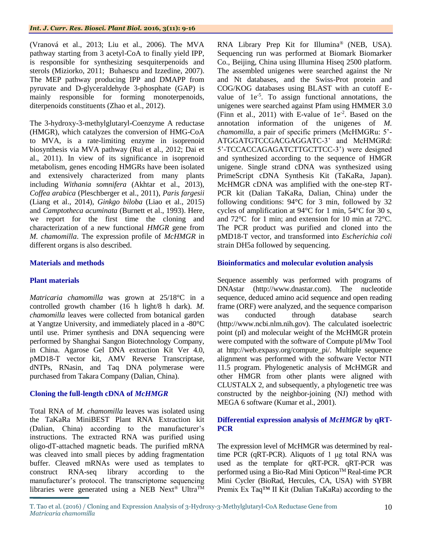(Vranová et al., 2013; Liu et al., 2006). The MVA pathway starting from 3 acetyl-CoA to finally yield IPP, is responsible for synthesizing sesquiterpenoids and sterols (Miziorko, 2011; Buhaescu and Izzedine, 2007). The MEP pathway producing IPP and DMAPP from pyruvate and D-glyceraldehyde 3-phosphate (GAP) is mainly responsible for forming monoterpenoids, diterpenoids constituents (Zhao et al., 2012).

The 3-hydroxy-3-methylglutaryl-Coenzyme A reductase (HMGR), which catalyzes the conversion of HMG-CoA to MVA, is a rate-limiting enzyme in isoprenoid biosynthesis via MVA pathway (Rui et al., 2012; Dai et al., 2011). In view of its significance in isoprenoid metabolism, genes encoding HMGRs have been isolated and extensively characterized from many plants including *Withania somnifera* (Akhtar et al., 2013), *Coffea arabica* (Pleschberger et al., 2011), *Paris fargesii* (Liang et al., 2014), *Ginkgo biloba* (Liao et al., 2015) and *Camptotheca acuminata* (Burnett et al., 1993). Here, we report for the first time the cloning and characterization of a new functional *HMGR* gene from *M. chamomilla*. The expression profile of *McHMGR* in different organs is also described.

## **Materials and methods**

## **Plant materials**

*Matricaria chamomilla* was grown at 25/18°C in a controlled growth chamber (16 h light/8 h dark). *M. chamomilla* leaves were collected from botanical garden at Yangtze University, and immediately placed in a -80°C until use. Primer synthesis and DNA sequencing were performed by Shanghai Sangon Biotechnology Company, in China. Agarose Gel DNA extraction Kit Ver 4.0, pMD18-T vector kit, AMV Reverse Transcriptase, dNTPs, RNasin, and Taq DNA polymerase were purchased from Takara Company (Dalian, China).

## **Cloning the full-length cDNA of** *McHMGR*

Total RNA of *M. chamomilla* leaves was isolated using the TaKaRa MiniBEST Plant RNA Extraction kit (Dalian, China) according to the manufacturer's instructions. The extracted RNA was purified using oligo-dT-attached magnetic beads. The purified mRNA was cleaved into small pieces by adding fragmentation buffer. Cleaved mRNAs were used as templates to construct RNA-seq library according to the manufacturer's protocol. The transcriptome sequencing libraries were generated using a NEB Next<sup>®</sup> Ultra<sup>TM</sup> RNA Library Prep Kit for Illumina® (NEB, USA). Sequencing run was performed at Biomark Biomarker Co., Beijing, China using Illumina Hiseq 2500 platform. The assembled unigenes were searched against the Nr and Nt databases, and the Swiss-Prot protein and COG/KOG databases using BLAST with an cutoff Evalue of  $1e^{-5}$ . To assign functional annotations, the unigenes were searched against Pfam using HMMER 3.0 (Finn et al., 2011) with E-value of  $1e^{-2}$ . Based on the annotation information of the unigenes of *M. chamomilla*, a pair of specific primers (McHMGRu: 5'- ATGGATGTCCGACGAGGATC-3' and McHMGRd: 5'-TCCACCAGAGATCTTGCTTCC-3') were designed and synthesized according to the sequence of HMGR unigene. Single strand cDNA was synthesized using PrimeScript cDNA Synthesis Kit (TaKaRa, Japan). McHMGR cDNA was amplified with the one-step RT-PCR kit (Dalian TaKaRa, Dalian, China) under the following conditions: 94°C for 3 min, followed by 32 cycles of amplification at 94°C for 1 min, 54°C for 30 s, and 72°C for 1 min; and extension for 10 min at 72°C. The PCR product was purified and cloned into the pMD18-T vector, and transformed into *Escherichia coli* strain DH5a followed by sequencing.

## **Bioinformatics and molecular evolution analysis**

Sequence assembly was performed with programs of DNAstar (http://www.dnastar.com). The nucleotide sequence, deduced amino acid sequence and open reading frame (ORF) were analyzed, and the sequence comparison was conducted through database search (http://www.ncbi.nlm.nih.gov). The calculated isoelectric point (pI) and molecular weight of the McHMGR protein were computed with the software of Compute pI/Mw Tool at http://web.expasy.org/compute\_pi/. Multiple sequence alignment was performed with the software Vector NTI 11.5 program. Phylogenetic analysis of McHMGR and other HMGR from other plants were aligned with CLUSTALX 2, and subsequently, a phylogenetic tree was constructed by the neighbor-joining (NJ) method with MEGA 6 software (Kumar et al., 2001).

## **Differential expression analysis of** *McHMGR* **by qRT-PCR**

The expression level of McHMGR was determined by realtime PCR (qRT-PCR). Aliquots of 1 μg total RNA was used as the template for qRT-PCR. qRT-PCR was performed using a Bio-Rad Mini Opticon™ Real-time PCR Mini Cycler (BioRad, Hercules, CA, USA) with SYBR Premix Ex Taq™ II Kit (Dalian TaKaRa) according to the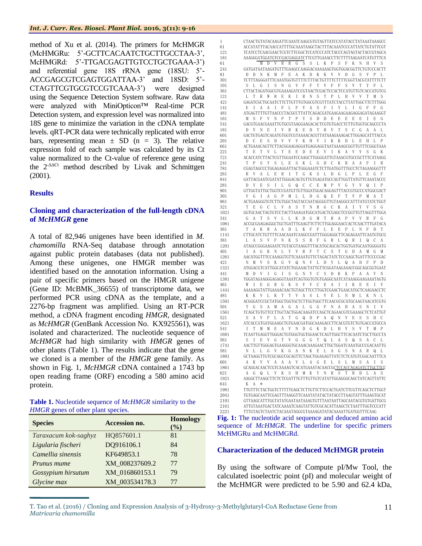method of Xu et al. (2014). The primers for McHMGR (McHMGRu: 5'-GCTTCACAATCTGCTTGCCTAA-3', McHMGRd: 5'-TTGACGAGTTGTCCTGCTGAAA-3') and referential gene 18S rRNA gene (18SU: 5'- ACCGAGCGTCGAGTGGATTAA-3' and 18SD: 5'- CTAGTTCGTGCGTCCGTCAAA-3') were designed using the Sequence Detection System software. Raw data were analyzed with MiniOpticon™ Real-time PCR Detection system, and expression level was normalized into 18S gene to minimize the variation in the cDNA template levels. qRT-PCR data were technically replicated with error bars, representing mean  $\pm$  SD (n = 3). The relative expression fold of each sample was calculated by its Ct value normalized to the Ct-value of reference gene using the 2-ΔΔCt method described by Livak and Schmittgen (2001).

## **Results**

## **Cloning and characterization of the full-length cDNA of** *McHMGR* **gene**

A total of 82,946 unigenes have been identified in *M. chamomilla* RNA-Seq database through annotation against public protein databases (data not published). Among these unigenes, one HMGR member was identified based on the annotation information. Using a pair of specific primers based on the HMGR unigene (Gene ID: McBMK\_36655) of transcriptome data, we performed PCR using cDNA as the template, and a 2276-bp fragment was amplified*.* Using an RT-PCR method, a cDNA fragment encoding *HMGR*, designated as *McHMGR* (GenBank Accession No. KX925561), was isolated and characterized. The nucleotide sequence of *McHMGR* had high similarity with *HMGR* genes of other plants (Table 1). The results indicate that the gene we cloned is a member of the *HMGR* gene family. As shown in Fig. 1, *McHMGR* cDNA contained a 1743 bp open reading frame (ORF) encoding a 580 amino acid protein.

| <b>Table 1.</b> Nucleotide sequence of <i>McHMGR</i> similarity to the |  |
|------------------------------------------------------------------------|--|
| HMGR genes of other plant species.                                     |  |

| <b>Species</b>       | <b>Accession no.</b> | <b>Homology</b><br>(%) |
|----------------------|----------------------|------------------------|
| Taraxacum kok-saghyz | HQ857601.1           | 81                     |
| Ligularia fischeri   | DQ916106.1           | 84                     |
| Camellia sinensis    | KF649853.1           | 78                     |
| Prunus mume          | XM 008237609.2       | 77                     |
| Gossypium hirsutum   | XM 016860153.1       | 79                     |
| Glycine max          | XM 003534178.3       | 77                     |

 CTAACTGTATACAAGATTCAAATCAAGCGTGTAGTTATCCATATACCTATAAATAAAGCC ACCATATTTACAACCATTTTGCAAATAAGCTACTTTACAAATCCCATTATCTGTATTCGT TCATCCTCAACGAACTCGTCTTCGGCTCCATCCCATCTACCCAGTAGTACTACCGTAGCA AAAGGGATGGATGTCCGACGAGGATCTTCGTTGAAACCTTCTTTTAAGAATCATGTTTCA M D V R R G S S L K P S F K N H V S GATGATAATAAGATGTTTGAAGCCAAGGACAAAAAAGTGGTGGACGGTTCTGTCCCACTT D D N K M F E A K D K K V V D G S V P L TCTTTAGGGATTTCAAATGGTGTTTTCTTTACTGTTTTCTTTTCGGTTACGTATTTTCTT S L G I S N G V F F T V F F S V T Y F L CTTACTAGATGGCGTGAAAAGATCCGTAACTCGACTCCACTCCATGTTGTCACCATGTCG L T R W R E K I R N S T P L H V V T M S GAGATCGCTGCAATCTTCTTGTTTGTGGCGTCGTTTATCTACCTTATTGGCTTCTTTGGG E I A A I F L F V A S F I Y L I G F F G  $\bf ATGAGTTTTGTTAACCCTACGCCTTATTCAGACGATGAAGAGAGAGAGAGAGAGAGAG$  M S F V N P T P Y S D D E E E E E I E G GACGTGAACGAAATTGTGCGTAAGGAAGACACTCGTGTGACCTCTTGTGGTGCAGCCCTA D V N E I V R K E D T R V T S C G A A L GACTGTGAGTCAGATGTGGTCGTAAAACACGTTATAAAGAAAGACTTGGAGCATTTACCA D C E S D V V V K H V I K K D L E H L P 661 ACTGAAACAGTTCTTACGGAAGAGGATGAGGAGGTAATAAAAGCGGTTGTTTCGGGTAAA<br>221 – Tet VIITeeneren Eevika VVSGK T E T V L T E E D E E V I K A V V S G K ACACCATCTTACTCGTTGGAATCCAAGCTTGGGGATTGTAAACGTGCCGCTTTCATAAGG T P S Y S L E S K L G D C K R A A F I R CGAGTAGCCCTGGAGAGGATTACTGGGAAATCTCTTGATGGTTTGCCTCTAGAAGGGTTT R V A L E R I T G K S L D G L P L E G F GATTACGAATCGATATTGGGACAGTGTTGTGAGATGCCAGTTGGTTATGTTCAAATACCC D Y E S I L G Q C C E M P V G Y V Q I P 901 GTTGGTATTGCTGGTCCGATGTTGTTGGATGGACAGGAGTTTACCGTGCCCATGGCGACT<br>301 VGIAGPMLLDGQEFTVPMAT V G I A G P M L L D G Q E F T V P M A T ACTGAAGGGTGTCTTGTGGCTAGTACCAATAGGGGTTGTAAGGCCATTTATGTATCTGGT T E G C L V A S T N R G C K A I Y V S G GGTGCAACTAGTGTCCTACTTAAAGATGGCATGACTCGAGCTCCGGTTGTTAGGTTTGGA G A T S V L L K D G M T R A P V V R F G ACCGCGAAGAGGGCTGCTGATTTGAAGTTCTTCTTGGAGGAACCACTCAACTTTGATACA 361 T A K R A A D L K F F L E E P L N F D 1141 CTTGCATCTGTTTTCAACAAATCAAGCCGATTTGGGAGGCTTCAGAGAATTCAATG  ${\tt CTTGCATCTGTTTTCAACAAATCAAGCCGATTTGGGAGGCTTCAGAGAATTCAATGGCG}$ 381 LASVFNKSSRFGRLQRRIQCA 1201 ATAGCCGGGAAGATCTGTACGTAAGGTTTACATGCAGCACTGGTGATGCAATGGGGAT 1201 ATAGCCGGGAAGAATCTGTACGTAAGGTTTACATGCAGCACTGGTGATGCAGATGGGGATG<br>401 – T. A. G. K. N. L. Y. V. R. F. T. C. S. T. G. D. A. M. G. M. 401 I A G K N L Y V R F T C S T G D A M G M 1261 AACATGGTTTCCAAAGGTGTTCAAAATGTTCTAGACTATCTCCAAGCTGATTTCCCCGA AACATGGTTTCCAAAGGTGTTCAAAATGTTCTAGACTATCTCCAAGCTGATTTCCCCGAC 421 N M V S K G V Q N V L D Y L Q A D F P D 1321 ATGGACGTCATTGGCATATCTGGAAACTATTGGTTCGGATAAGAAACCGGCAGCGGTGAA  ${\bf ATGGACGTCATTGGCATATCTGGAAACTATTGTTCGGATAAGAAACCGCAGCGGTGAAT}$  M D V I G I S G N Y C S D K K P A A V N TGGATAGAAGGGAGAGGTAAATCAGTGGTGTGTGAGGCAATCATAAAGGAAGAAATAGTG W I E G R G K S V V C E A I I K E E I V AAAAAGGTATTGAAAACAACTGTAGCTTCCTTGGTCGAACTGAACATGCTCAAGAACCTC K K V L K T T V A S L V E L N M L K N L ACGGGATCCGCTATGGCTGGTGCTCTTGGTGGCTTCAACGCGCATGCAAGTAACATCGTG T G S A M A G A L G G F N A H A S N I V TCAGCTGTGTTCCTTGCTACTGGACAAGATCCAGCTCAGAACGTCGAAAGCTCTCATTGT S A V F L A T G Q D P A Q N V E S S H C ATCACCATGATGGAAGCTGTGAACGATGGCAAAGACCTTCACGTGTCTGTGACCATGCCA I T M M E A V N D G K D L H V S V T M P TCAATTGAGGTTGGGACTGTGGGTGGTGGAACTCAGTTGGCTTCACAATCTGCTTGCCTA S I E V G T V G G G T Q L A S Q S A C L AACTTGTTGGGAGTGAAGGGTGCAAACAAAGAACTTGCTGGATCAAATGCCCGACAATTG N L L G V K G A N K E L A G S N A R Q L GCTAAGGTTGTCGCAGCCGCAGTTCTAGCTGGAGAGTTATCTCTCATGTCGGCAATTTCA 601 A K V V A A A V L A G E L S L M S A I S 1861 GCAGGACAACTCGTCAAAAGTCACATGAAATACAACCGCTCCACCAGAGATCTTGCTTC GCAGGACAACTCGTCAAAAGTCACATGAAATACAACCGCTCCACCAGAGATCTTGCTTCC A G Q L V K S H M K Y N R S T R D L A S AAGGCTTAAGCTTCTCTCGATTTGTTTGTTGTCATATTGGAGGGCAGCTATCAGTTATTC 641 K A \* 1981 TTGTTTCTACTGGTCTTTTGAGCTCTTGTTCTTCCACTGATCTTCGTTCAGCTCTTGGT<br>2041 TGTGAGCAATTCGAGTTTAAGGTTCAAATATATACTATACCTTAAGTATTTGAAGTGCAT TGTGAGCAATTCGAGTTTAAGGTTCAAATATATACTATACCTTAAGTATTTGAAGTGCAT GTTAAGCATTTGGTATATGAATAATAAAGTGTTTAATAATTAGCAATACGTGTGATTGCG

2161 ATTGTAAATGACTATCAAAATCAAGTATTGTCGCACATTAAGCTCTAATTTGGTCCCATT 2221 TTTGTAGTCTAATCTACAAATAGGCGTAAAAGATATACAAAATTGATGGTTTCAAG

**Fig. 1:** The nucleotide acid sequence and deduced amino acid sequence of *McHMGR*. The underline for specific primers McHMGRu and McHMGRd.

## **Characterization of the deduced McHMGR protein**

By using the software of Compute pI/Mw Tool, the calculated isoelectric point (pI) and molecular weight of the McHMGR were predicted to be 5.90 and 62.4 kDa,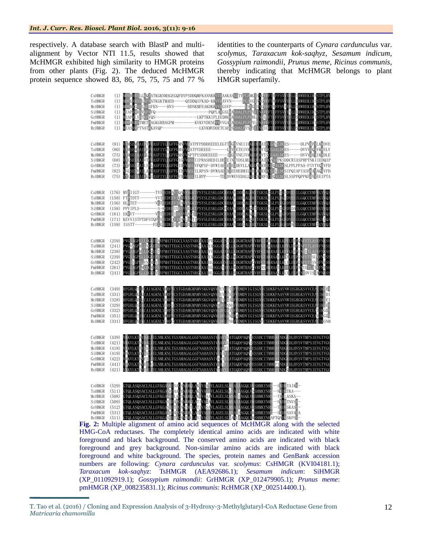respectively. A database search with BlastP and multialignment by Vector NTI 11.5, results showed that McHMGR exhibited high similarity to HMGR proteins from other plants (Fig. 2). The deduced McHMGR protein sequence showed 83, 86, 75, 75, 75 and 77 %

identities to the counterparts of *Cynara cardunculus* var. *scolymus*, *Taraxacum kok-saqhyz*, *Sesamum indicum*, *Gossypium raimondii*, *Prunus meme*, *Ricinus communis*, thereby indicating that McHMGR belongs to plant HMGR superfamily.



**Fig. 2:** Multiple alignment of amino acid sequences of McHMGR along with the selected HMG-CoA reductases. The completely identical amino acids are indicated with white foreground and black background. The conserved amino acids are indicated with black foreground and grey background. Non-similar amino acids are indicated with black foreground and white background. The species, protein names and GenBank accession numbers are following: *Cynara cardunculus* var. *scolymus*: CsHMGR (KVI04181.1); *Taraxacum kok-saqhyz*: TsHMGR (AEA92686.1); *Sesamum indicum*: SiHMGR (XP\_011092919.1); *Gossypium raimondii*: GrHMGR (XP\_012479905.1); *Prunus meme*: pmHMGR (XP\_008235831.1); *Ricinus communis*: RcHMGR (XP\_002514400.1).

T. Tao et al. (2016) / Cloning and Expression Analysis of 3-Hydroxy-3-Methylglutaryl-CoA Reductase Gene from *Matricaria chamomilla*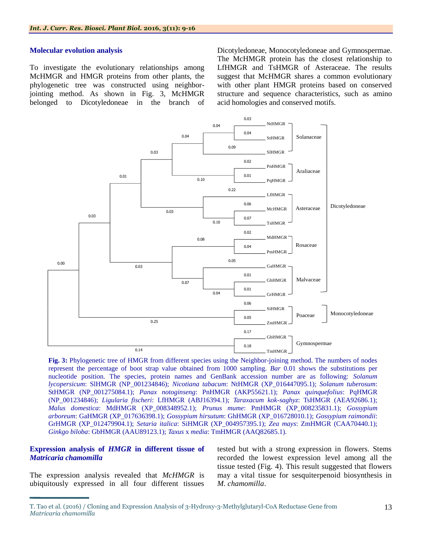#### **Molecular evolution analysis**

To investigate the evolutionary relationships among McHMGR and HMGR proteins from other plants, the phylogenetic tree was constructed using neighborjointing method. As shown in Fig. 3, McHMGR belonged to Dicotyledoneae in the branch of Dicotyledoneae, Monocotyledoneae and Gymnospermae. The McHMGR protein has the closest relationship to LfHMGR and TsHMGR of Asteraceae. The results suggest that McHMGR shares a common evolutionary with other plant HMGR proteins based on conserved structure and sequence characteristics, such as amino acid homologies and conserved motifs.



**Fig. 3:** Phylogenetic tree of HMGR from different species using the Neighbor-joining method. The numbers of nodes represent the percentage of boot strap value obtained from 1000 sampling. *Bar* 0.01 shows the substitutions per nucleotide position. The species, protein names and GenBank accession number are as following: *Solanum lycopersicum*: SlHMGR (NP\_001234846); *Nicotiana tabacum*: NtHMGR (XP\_016447095.1); *Solanum tuberosum*: StHMGR (NP\_001275084.1); *Panax notoginseng*: PnHMGR (AKP55621.1); *Panax quinquefolius*: PqHMGR (NP\_001234846); *Ligularia fischeri*: LfHMGR (ABJ16394.1); *Taraxacum kok-saghyz*: TsHMGR (AEA92686.1); *Malus domestica*: MdHMGR (XP\_008348952.1); *Prunus mume*: PmHMGR (XP\_008235831.1); *Gossypium arboreum*: GaHMGR (XP\_017636398.1); *Gossypium hirsutum*: GhHMGR (XP\_016728010.1); *Gossypium raimondii*: GrHMGR (XP\_012479904.1); *Setaria italica*: SiHMGR (XP\_004957395.1); *Zea mays*: ZmHMGR (CAA70440.1); *Ginkgo biloba*: GbHMGR (AAU89123.1); *Taxus* x *media*: TmHMGR (AAQ82685.1).

## **Expression analysis of** *HMGR* **in different tissue of**  *Matricaria chamomilla*

The expression analysis revealed that *McHMGR* is ubiquitously expressed in all four different tissues tested but with a strong expression in flowers. Stems recorded the lowest expression level among all the tissue tested (Fig. 4). This result suggested that flowers may a vital tissue for sesquiterpenoid biosynthesis in *M. chamomilla*.

T. Tao et al. (2016) / Cloning and Expression Analysis of 3-Hydroxy-3-Methylglutaryl-CoA Reductase Gene from *Matricaria chamomilla*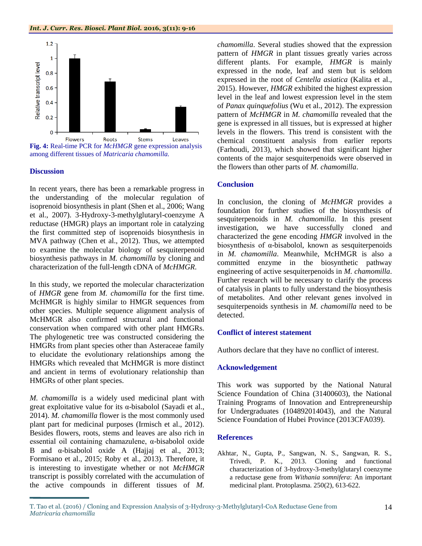

## **Discussion**

In recent years, there has been a remarkable progress in the understanding of the molecular regulation of isoprenoid biosynthesis in plant (Shen et al., 2006; Wang et al., 2007). 3-Hydroxy-3-methylglutaryl-coenzyme A reductase (HMGR) plays an important role in catalyzing the first committed step of isoprenoids biosynthesis in MVA pathway (Chen et al., 2012). Thus, we attempted to examine the molecular biology of sesquiterpenoid biosynthesis pathways in *M. chamomilla* by cloning and characterization of the full-length cDNA of *McHMGR*.

In this study, we reported the molecular characterization of *HMGR* gene from *M. chamomilla* for the first time. McHMGR is highly similar to HMGR sequences from other species. Multiple sequence alignment analysis of McHMGR also confirmed structural and functional conservation when compared with other plant HMGRs. The phylogenetic tree was constructed considering the HMGRs from plant species other than Asteraceae family to elucidate the evolutionary relationships among the HMGRs which revealed that McHMGR is more distinct and ancient in terms of evolutionary relationship than HMGRs of other plant species.

*M. chamomilla* is a widely used medicinal plant with great exploitative value for its α-bisabolol (Sayadi et al., 2014). *M. chamomilla* flower is the most commonly used plant part for medicinal purposes (Irmisch et al., 2012). Besides flowers, roots, stems and leaves are also rich in essential oil containing chamazulene, α-bisabolol oxide B and  $\alpha$ -bisabolol oxide A (Hajjaj et al., 2013; Formisano et al., 2015; Roby et al., 2013). Therefore, it is interesting to investigate whether or not *McHMGR* transcript is possibly correlated with the accumulation of the active compounds in different tissues of *M.* 

*chamomilla*. Several studies showed that the expression pattern of *HMGR* in plant tissues greatly varies across different plants. For example, *HMGR* is mainly expressed in the node, leaf and stem but is seldom expressed in the root of *Centella asiatica* (Kalita et al., 2015). However, *HMGR* exhibited the highest expression level in the leaf and lowest expression level in the stem of *Panax quinquefolius* (Wu et al., 2012). The expression pattern of *McHMGR* in *M. chamomilla* revealed that the gene is expressed in all tissues, but is expressed at higher levels in the flowers. This trend is consistent with the chemical constituent analysis from earlier reports (Farhoudi, 2013), which showed that significant higher contents of the major sesquiterpenoids were observed in the flowers than other parts of *M. chamomilla*.

## **Conclusion**

In conclusion, the cloning of *McHMGR* provides a foundation for further studies of the biosynthesis of sesquiterpenoids in *M. chamomilla*. In this present investigation, we have successfully cloned and characterized the gene encoding *HMGR* involved in the biosynthesis of  $\alpha$ -bisabolol, known as sesquiterpenoids in *M. chamomilla*. Meanwhile, McHMGR is also a committed enzyme in the biosynthetic pathway engineering of active sesquiterpenoids in *M. chamomilla*. Further research will be necessary to clarify the process of catalysis in plants to fully understand the biosynthesis of metabolites. And other relevant genes involved in sesquiterpenoids synthesis in *M. chamomilla* need to be detected.

## **Conflict of interest statement**

Authors declare that they have no conflict of interest.

## **Acknowledgement**

This work was supported by the National Natural Science Foundation of China (31400603), the National Training Programs of Innovation and Entrepreneurship for Undergraduates (104892014043), and the Natural Science Foundation of Hubei Province (2013CFA039).

#### **References**

Akhtar, N., Gupta, P., Sangwan, N. S., Sangwan, R. S., Trivedi, P. K., 2013. Cloning and functional characterization of 3-hydroxy-3-methylglutaryl coenzyme a reductase gene from *Withania somnifera*: An important medicinal plant. Protoplasma. 250(2), 613-622.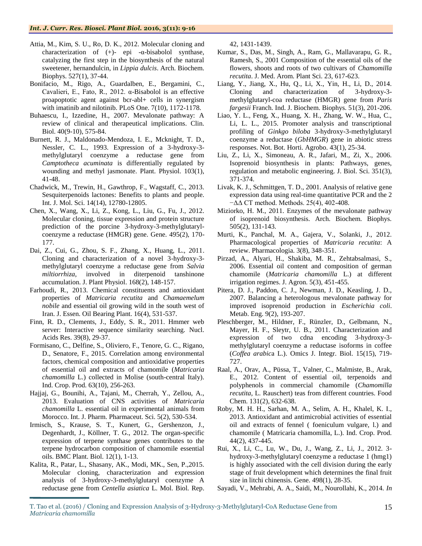- Attia, M., Kim, S. U., Ro, D. K., 2012. Molecular cloning and characterization of (+)- epi -α-bisabolol synthase, catalyzing the first step in the biosynthesis of the natural sweetener, hernandulcin, in *Lippia dulcis*. Arch. Biochem. Biophys. 527(1), 37-44.
- Bonifacio, M., Rigo, A., Guardalben, E., Bergamini, C., Cavalieri, E., Fato, R., 2012. α-Bisabolol is an effective proapoptotic agent against bcr-abl+ cells in synergism with imatinib and nilotinib. PLoS One. 7(10), 1172-1178.
- Buhaescu, I., Izzedine, H., 2007. Mevalonate pathway: A review of clinical and therapeutical implications. Clin. Biol. 40(9-10), 575-84.
- Burnett, R. J., Maldonado-Mendoza, I. E., Mcknight, T. D., Nessler, C. L., 1993. Expression of a 3-hydroxy-3 methylglutaryl coenzyme a reductase gene from *Camptotheca acuminata* is differentially regulated by wounding and methyl jasmonate. Plant. Physiol. 103(1), 41-48.
- Chadwick, M., Trewin, H., Gawthrop, F., Wagstaff, C., 2013. Sesquiterpenoids lactones: Benefits to plants and people. Int. J. Mol. Sci. 14(14), 12780-12805.
- Chen, X., Wang, X., Li, Z., Kong, L., Liu, G., Fu, J., 2012. Molecular cloning, tissue expression and protein structure prediction of the porcine 3-hydroxy-3-methylglutarylcoenzyme a reductase (HMGR) gene. Gene. 495(2), 170- 177.
- Dai, Z., Cui, G., Zhou, S. F., Zhang, X., Huang, L., 2011. Cloning and characterization of a novel 3-hydroxy-3 methylglutaryl coenzyme a reductase gene from *Salvia miltiorrhiza*, involved in diterpenoid tanshinone accumulation. J. Plant Physiol. 168(2), 148-157.
- Farhoudi, R., 2013. Chemical constituents and antioxidant properties of *Matricaria recutita* and *Chamaemelum nobile* and essential oil growing wild in the south west of Iran. J. Essen. Oil Bearing Plant. 16(4), 531-537.
- Finn, R. D., Clements, J., Eddy, S. R., 2011. Hmmer web server: Interactive sequence similarity searching. Nucl. Acids Res. 39(8), 29-37.
- Formisano, C., Delfine, S., Oliviero, F., Tenore, G. C., Rigano, D., Senatore, F., 2015. Correlation among environmental factors, chemical composition and antioxidative properties of essential oil and extracts of chamomile (*Matricaria chamomilla* L.) collected in Molise (south-central Italy). Ind. Crop. Prod. 63(10), 256-263.
- Hajjaj, G., Bounihi, A., Tajani, M., Cherrah, Y., Zellou, A., 2013. Evaluation of CNS activities of *Matricaria chamomilla* L. essential oil in experimental animals from Morocco. Int. J. Pharm. Pharmaceut. Sci. 5(2), 530-534.
- Irmisch, S., Krause, S. T., Kunert, G., Gershenzon, J., Degenhardt, J., Köllner, T. G., 2012. The organ-specific expression of terpene synthase genes contributes to the terpene hydrocarbon composition of chamomile essential oils. BMC Plant. Biol. 12(1), 1-13.
- Kalita, R., Patar, L., Shasany, AK., Modi, MK., Sen, P.,2015. Molecular cloning, characterization and expression analysis of 3-hydroxy-3-methylglutaryl coenzyme A reductase gene from *Centella asiatica* L. Mol. Biol. Rep.

42, 1431-1439.

- Kumar, S., Das, M., Singh, A., Ram, G., Mallavarapu, G. R., Ramesh, S., 2001 Composition of the essential oils of the flowers, shoots and roots of two cultivars of *Chamomilla recutita*. J. Med. Arom. Plant Sci. 23, 617-623.
- Liang, Y., Jiang, X., Hu, Q., Li, X., Yin, H., Li, D., 2014. Cloning and characterization of 3-hydroxy-3 methylglutaryl-coa reductase (HMGR) gene from *Paris fargesii* Franch. Ind. J. Biochem. Biophys. 51(3), 201-206.
- Liao, Y. L., Feng, X., Huang, X. H., Zhang, W. W., Hua, C., Li, L. L., 2015. Promoter analysis and transcriptional profiling of *Ginkgo biloba* 3-hydroxy-3-methylglutaryl coenzyme a reductase (*GbHMGR*) gene in abiotic stress responses. Not. Bot. Horti. Agrobo. 43(1), 25-34.
- Liu, Z., Li, X., Simoneau, A. R., Jafari, M., Zi, X., 2006. Isoprenoid biosynthesis in plants: Pathways, genes, regulation and metabolic engineering. J. Biol. Sci. 351(3), 371-374.
- Livak, K. J., Schmittgen, T. D., 2001. Analysis of relative gene expression data using real-time quantitative PCR and the 2 −ΔΔ CT method. Methods. 25(4), 402-408.
- Miziorko, H. M., 2011. Enzymes of the mevalonate pathway of isoprenoid biosynthesis. Arch. Biochem. Biophys. 505(2), 131-143.
- Murti, K., Panchal, M. A., Gajera, V., Solanki, J., 2012. Pharmacological properties of *Matricaria recutita*: A review. Pharmacologia. 3(8), 348-351.
- Pirzad, A., Alyari, H., Shakiba, M. R., Zehtabsalmasi, S., 2006. Essential oil content and composition of german chamomile (*Matricaria chamomilla* L.) at different irrigation regimes. J. Agron. 5(3), 451-455.
- Pitera, D. J., Paddon, C. J., Newman, J. D., Keasling, J. D., 2007. Balancing a heterologous mevalonate pathway for improved isoprenoid production in *Escherichia coli*. Metab. Eng. 9(2), 193-207.
- Pleschberger, M., Hildner, F., Rünzler, D., Gelbmann, N., Mayer, H. F., Sleytr, U. B., 2011. Characterization and expression of two cdna encoding 3-hydroxy-3 methylglutaryl coenzyme a reductase isoforms in coffee (*Coffea arabic*a L.). Omics J. Integr. Biol. 15(15), 719- 727.
- Raal, A., Orav, A., Püssa, T., Valner, C., Malmiste, B., Arak, E., 2012. Content of essential oil, terpenoids and polyphenols in commercial chamomile (*Chamomilla recutita*, L. Rauschert) teas from different countries. Food Chem. 131(2), 632-638.
- Roby, M. H. H., Sarhan, M. A., Selim, A. H., Khalel, K. I., 2013. Antioxidant and antimicrobial activities of essential oil and extracts of fennel ( foeniculum vulgare, l.) and chamomile ( Matricaria chamomilla, L.). Ind. Crop. Prod. 44(2), 437-445.
- Rui, X., Li, C., Lu, W., Du, J., Wang, Z., Li, J., 2012. 3 hydroxy-3-methylglutaryl coenzyme a reductase 1 (hmg1) is highly associated with the cell division during the early stage of fruit development which determines the final fruit size in litchi chinensis. Gene. 498(1), 28-35.
- Sayadi, V., Mehrabi, A. A., Saidi, M., Nourollahi, K., 2014. *In*